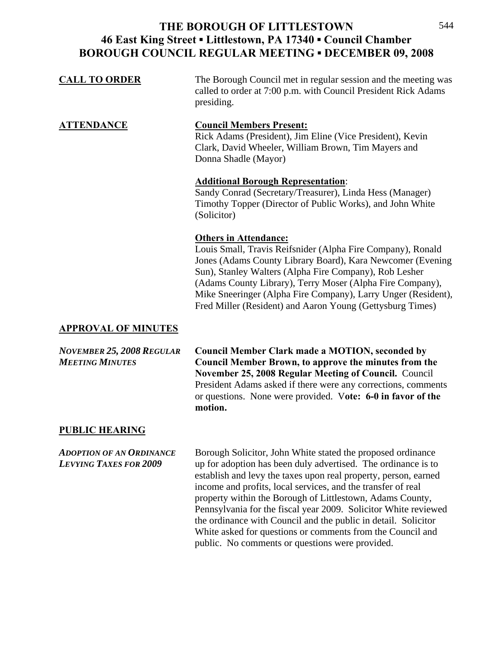| <b>CALL TO ORDER</b> | The Borough Council met in regular session and the meeting was<br>called to order at 7:00 p.m. with Council President Rick Adams<br>presiding.                                                                                                                                                                                                                                                                  |
|----------------------|-----------------------------------------------------------------------------------------------------------------------------------------------------------------------------------------------------------------------------------------------------------------------------------------------------------------------------------------------------------------------------------------------------------------|
| <b>ATTENDANCE</b>    | <b>Council Members Present:</b><br>Rick Adams (President), Jim Eline (Vice President), Kevin<br>Clark, David Wheeler, William Brown, Tim Mayers and<br>Donna Shadle (Mayor)                                                                                                                                                                                                                                     |
|                      | <b>Additional Borough Representation:</b><br>Sandy Conrad (Secretary/Treasurer), Linda Hess (Manager)<br>Timothy Topper (Director of Public Works), and John White<br>(Solicitor)                                                                                                                                                                                                                               |
|                      | <b>Others in Attendance:</b><br>Louis Small, Travis Reifsnider (Alpha Fire Company), Ronald<br>Jones (Adams County Library Board), Kara Newcomer (Evening)<br>Sun), Stanley Walters (Alpha Fire Company), Rob Lesher<br>(Adams County Library), Terry Moser (Alpha Fire Company),<br>Mike Sneeringer (Alpha Fire Company), Larry Unger (Resident),<br>Fred Miller (Resident) and Aaron Young (Gettysburg Times) |

### **APPROVAL OF MINUTES**

*NOVEMBER 25, 2008 REGULAR* **Council Member Clark made a MOTION, seconded by**  *MEETING MINUTES* **Council Member Brown, to approve the minutes from the November 25, 2008 Regular Meeting of Council.** Council President Adams asked if there were any corrections, comments or questions. None were provided. V**ote: 6-0 in favor of the motion.** 

# **PUBLIC HEARING**

*ADOPTION OF AN ORDINANCE* Borough Solicitor, John White stated the proposed ordinance *LEVYING TAXES FOR 2009* up for adoption has been duly advertised. The ordinance is to establish and levy the taxes upon real property, person, earned income and profits, local services, and the transfer of real property within the Borough of Littlestown, Adams County, Pennsylvania for the fiscal year 2009. Solicitor White reviewed the ordinance with Council and the public in detail. Solicitor White asked for questions or comments from the Council and public. No comments or questions were provided.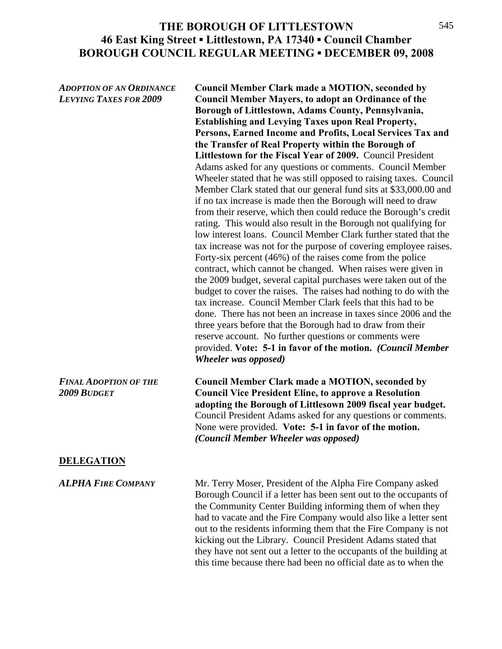*ADOPTION OF AN ORDINANCE* **Council Member Clark made a MOTION, seconded by**  *LEVYING TAXES FOR 2009* **Council Member Mayers, to adopt an Ordinance of the Borough of Littlestown, Adams County, Pennsylvania, Establishing and Levying Taxes upon Real Property, Persons, Earned Income and Profits, Local Services Tax and the Transfer of Real Property within the Borough of Littlestown for the Fiscal Year of 2009.** Council President Adams asked for any questions or comments. Council Member Wheeler stated that he was still opposed to raising taxes. Council Member Clark stated that our general fund sits at \$33,000.00 and if no tax increase is made then the Borough will need to draw from their reserve, which then could reduce the Borough's credit rating. This would also result in the Borough not qualifying for low interest loans. Council Member Clark further stated that the tax increase was not for the purpose of covering employee raises. Forty-six percent (46%) of the raises come from the police contract, which cannot be changed. When raises were given in the 2009 budget, several capital purchases were taken out of the budget to cover the raises. The raises had nothing to do with the tax increase. Council Member Clark feels that this had to be done. There has not been an increase in taxes since 2006 and the three years before that the Borough had to draw from their reserve account. No further questions or comments were provided. **Vote: 5-1 in favor of the motion.** *(Council Member Wheeler was opposed)* 

*FINAL ADOPTION OF THE* **Council Member Clark made a MOTION, seconded by**  *2009 BUDGET* **Council Vice President Eline, to approve a Resolution adopting the Borough of Littlesown 2009 fiscal year budget.**  Council President Adams asked for any questions or comments. None were provided. **Vote: 5-1 in favor of the motion.**  *(Council Member Wheeler was opposed)* 

### **DELEGATION**

*ALPHA FIRE COMPANY* Mr. Terry Moser, President of the Alpha Fire Company asked Borough Council if a letter has been sent out to the occupants of the Community Center Building informing them of when they had to vacate and the Fire Company would also like a letter sent out to the residents informing them that the Fire Company is not kicking out the Library. Council President Adams stated that they have not sent out a letter to the occupants of the building at this time because there had been no official date as to when the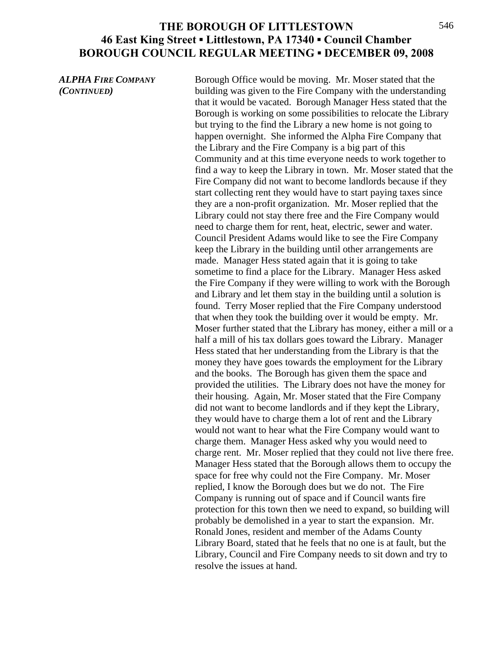*ALPHA FIRE COMPANY* Borough Office would be moving. Mr. Moser stated that the *(CONTINUED)* building was given to the Fire Company with the understanding that it would be vacated. Borough Manager Hess stated that the Borough is working on some possibilities to relocate the Library but trying to the find the Library a new home is not going to happen overnight. She informed the Alpha Fire Company that the Library and the Fire Company is a big part of this Community and at this time everyone needs to work together to find a way to keep the Library in town. Mr. Moser stated that the Fire Company did not want to become landlords because if they start collecting rent they would have to start paying taxes since they are a non-profit organization. Mr. Moser replied that the Library could not stay there free and the Fire Company would need to charge them for rent, heat, electric, sewer and water. Council President Adams would like to see the Fire Company keep the Library in the building until other arrangements are made. Manager Hess stated again that it is going to take sometime to find a place for the Library. Manager Hess asked the Fire Company if they were willing to work with the Borough and Library and let them stay in the building until a solution is found. Terry Moser replied that the Fire Company understood that when they took the building over it would be empty. Mr. Moser further stated that the Library has money, either a mill or a half a mill of his tax dollars goes toward the Library. Manager Hess stated that her understanding from the Library is that the money they have goes towards the employment for the Library and the books. The Borough has given them the space and provided the utilities. The Library does not have the money for their housing. Again, Mr. Moser stated that the Fire Company did not want to become landlords and if they kept the Library, they would have to charge them a lot of rent and the Library would not want to hear what the Fire Company would want to charge them. Manager Hess asked why you would need to charge rent. Mr. Moser replied that they could not live there free. Manager Hess stated that the Borough allows them to occupy the space for free why could not the Fire Company. Mr. Moser replied, I know the Borough does but we do not. The Fire Company is running out of space and if Council wants fire protection for this town then we need to expand, so building will probably be demolished in a year to start the expansion. Mr. Ronald Jones, resident and member of the Adams County Library Board, stated that he feels that no one is at fault, but the Library, Council and Fire Company needs to sit down and try to resolve the issues at hand.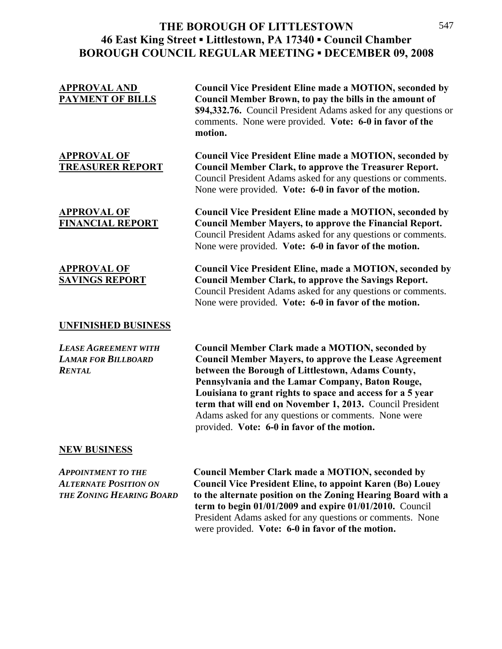| <b>Council Vice President Eline made a MOTION, seconded by</b><br>Council Member Brown, to pay the bills in the amount of<br>\$94,332.76. Council President Adams asked for any questions or<br>comments. None were provided. Vote: 6-0 in favor of the<br>motion.                                                                                                                                                                                                |
|-------------------------------------------------------------------------------------------------------------------------------------------------------------------------------------------------------------------------------------------------------------------------------------------------------------------------------------------------------------------------------------------------------------------------------------------------------------------|
| <b>Council Vice President Eline made a MOTION, seconded by</b><br><b>Council Member Clark, to approve the Treasurer Report.</b><br>Council President Adams asked for any questions or comments.<br>None were provided. Vote: 6-0 in favor of the motion.                                                                                                                                                                                                          |
| <b>Council Vice President Eline made a MOTION, seconded by</b><br><b>Council Member Mayers, to approve the Financial Report.</b><br>Council President Adams asked for any questions or comments.<br>None were provided. Vote: 6-0 in favor of the motion.                                                                                                                                                                                                         |
| <b>Council Vice President Eline, made a MOTION, seconded by</b><br><b>Council Member Clark, to approve the Savings Report.</b><br>Council President Adams asked for any questions or comments.<br>None were provided. Vote: 6-0 in favor of the motion.                                                                                                                                                                                                           |
|                                                                                                                                                                                                                                                                                                                                                                                                                                                                   |
| <b>Council Member Clark made a MOTION, seconded by</b><br><b>Council Member Mayers, to approve the Lease Agreement</b><br>between the Borough of Littlestown, Adams County,<br>Pennsylvania and the Lamar Company, Baton Rouge,<br>Louisiana to grant rights to space and access for a 5 year<br>term that will end on November 1, 2013. Council President<br>Adams asked for any questions or comments. None were<br>provided. Vote: 6-0 in favor of the motion. |
|                                                                                                                                                                                                                                                                                                                                                                                                                                                                   |

### **NEW BUSINESS**

*APPOINTMENT TO THE* **Council Member Clark made a MOTION, seconded by**  *ALTERNATE POSITION ON* **Council Vice President Eline, to appoint Karen (Bo) Louey**  *THE ZONING HEARING BOARD* **to the alternate position on the Zoning Hearing Board with a term to begin 01/01/2009 and expire 01/01/2010.** Council President Adams asked for any questions or comments. None were provided. **Vote: 6-0 in favor of the motion.**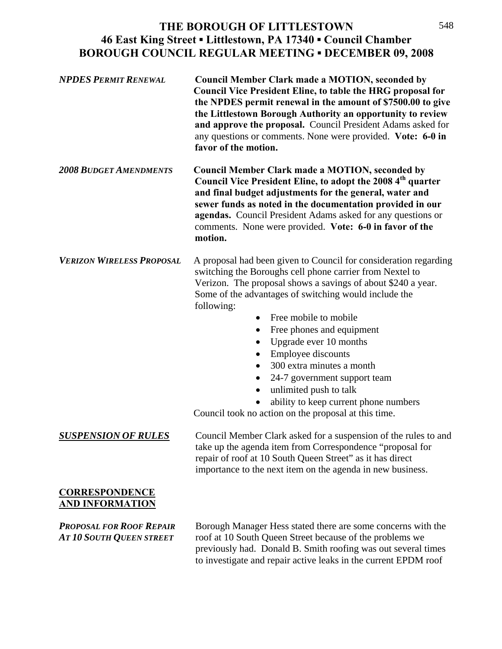| <b>NPDES PERMIT RENEWAL</b>                                        | <b>Council Member Clark made a MOTION, seconded by</b><br><b>Council Vice President Eline, to table the HRG proposal for</b><br>the NPDES permit renewal in the amount of \$7500.00 to give<br>the Littlestown Borough Authority an opportunity to review<br>and approve the proposal. Council President Adams asked for<br>any questions or comments. None were provided. Vote: 6-0 in<br>favor of the motion.                                                                                                                                                                                                                         |
|--------------------------------------------------------------------|-----------------------------------------------------------------------------------------------------------------------------------------------------------------------------------------------------------------------------------------------------------------------------------------------------------------------------------------------------------------------------------------------------------------------------------------------------------------------------------------------------------------------------------------------------------------------------------------------------------------------------------------|
| <b>2008 BUDGET AMENDMENTS</b>                                      | <b>Council Member Clark made a MOTION, seconded by</b><br>Council Vice President Eline, to adopt the 2008 4 <sup>th</sup> quarter<br>and final budget adjustments for the general, water and<br>sewer funds as noted in the documentation provided in our<br>agendas. Council President Adams asked for any questions or<br>comments. None were provided. Vote: 6-0 in favor of the<br>motion.                                                                                                                                                                                                                                          |
| <b>VERIZON WIRELESS PROPOSAL</b>                                   | A proposal had been given to Council for consideration regarding<br>switching the Boroughs cell phone carrier from Nextel to<br>Verizon. The proposal shows a savings of about \$240 a year.<br>Some of the advantages of switching would include the<br>following:<br>Free mobile to mobile<br>$\bullet$<br>Free phones and equipment<br>$\bullet$<br>Upgrade ever 10 months<br>٠<br>Employee discounts<br>$\bullet$<br>300 extra minutes a month<br>$\bullet$<br>24-7 government support team<br>$\bullet$<br>unlimited push to talk<br>ability to keep current phone numbers<br>Council took no action on the proposal at this time. |
| <b>SUSPENSION OF RULES</b>                                         | Council Member Clark asked for a suspension of the rules to and<br>take up the agenda item from Correspondence "proposal for<br>repair of roof at 10 South Queen Street" as it has direct<br>importance to the next item on the agenda in new business.                                                                                                                                                                                                                                                                                                                                                                                 |
| <b>CORRESPONDENCE</b><br><b>AND INFORMATION</b>                    |                                                                                                                                                                                                                                                                                                                                                                                                                                                                                                                                                                                                                                         |
| <b>PROPOSAL FOR ROOF REPAIR</b><br><b>AT 10 SOUTH QUEEN STREET</b> | Borough Manager Hess stated there are some concerns with the<br>roof at 10 South Queen Street because of the problems we<br>previously had. Donald B. Smith roofing was out several times<br>to investigate and repair active leaks in the current EPDM roof                                                                                                                                                                                                                                                                                                                                                                            |